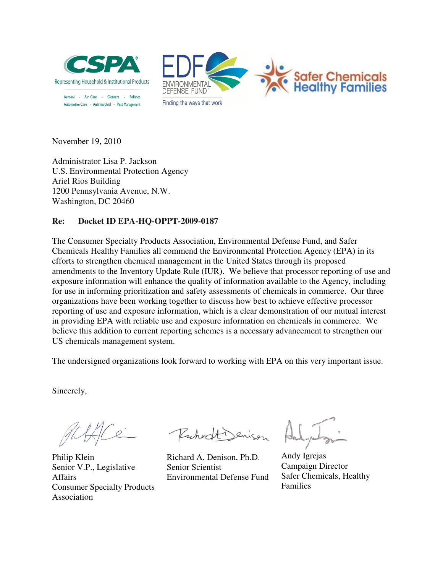



November 19, 2010

Administrator Lisa P. Jackson U.S. Environmental Protection Agency Agency Ariel Rios Building 1200 Pennsylvania Avenue, N.W. Washington, DC 20460

## **Re:** Docket **ID EPA-HQ-OPPT-2009-0187**

The Consumer Specialty Products Association, Environmental Defense Fund, and Safer Chemicals Healthy Families all commend the Environmental Protection Agency (EPA) in its Chemicals Healthy Families all commend the Environmental Protection Agency (EPA) in efforts to strengthen chemical management in the United States through its proposed amendments to the Inventory Update Rule (IUR). We believe that processor reporting of use and exposure information will enhance the quality of information available to the Agency, including for use in informing prioritization and safety assessments of chemicals in commerce. Our three organizations have been working together to discuss how best to achieve effective processor reporting of use and exposure information, which is a clear demonstration of our mutual in providing EPA with reliable use and exposure information on chemicals in commerce. We in providing EPA with reliable use and exposure information on chemicals in commerce. We believe this addition to current reporting schemes is a necessary advancement to strengthen our US chemicals management system. gether to discuss how best to achieve effective processor<br>mation, which is a clear demonstration of our mutual intere<br>and exposure information on chemicals in commerce. We t processor reporting of use and<br>lable to the Agency, including<br>icals in commerce. Our three<br>chieve effective processor<br>stration of our mutual interest

The undersigned organizations look forward to working with EPA on this very important issue.

Sincerely,

 $\varrho$ 

Philip Klein Senior V.P., Legislative Affairs Consumer Specialty Products Association

Ruhodt

Richard A. Denison, Ph.D. Senior Scientist Environmental Defense Fund

Andy Igrejas Campaign Director Safer Chemicals, Healthy Families